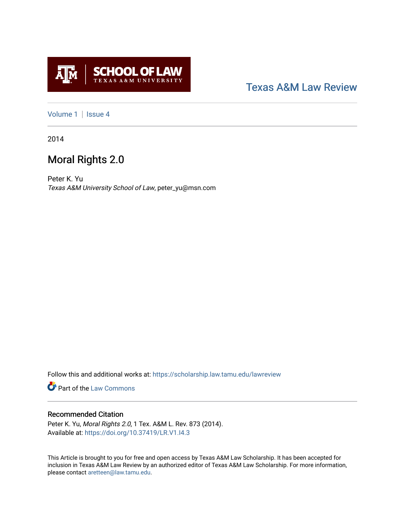

# [Texas A&M Law Review](https://scholarship.law.tamu.edu/lawreview)

[Volume 1](https://scholarship.law.tamu.edu/lawreview/vol1) | Issue 4

2014

# Moral Rights 2.0

Peter K. Yu Texas A&M University School of Law, peter\_yu@msn.com

Follow this and additional works at: [https://scholarship.law.tamu.edu/lawreview](https://scholarship.law.tamu.edu/lawreview?utm_source=scholarship.law.tamu.edu%2Flawreview%2Fvol1%2Fiss4%2F5&utm_medium=PDF&utm_campaign=PDFCoverPages)

Part of the [Law Commons](http://network.bepress.com/hgg/discipline/578?utm_source=scholarship.law.tamu.edu%2Flawreview%2Fvol1%2Fiss4%2F5&utm_medium=PDF&utm_campaign=PDFCoverPages)

## Recommended Citation

Peter K. Yu, Moral Rights 2.0, 1 Tex. A&M L. Rev. 873 (2014). Available at:<https://doi.org/10.37419/LR.V1.I4.3>

This Article is brought to you for free and open access by Texas A&M Law Scholarship. It has been accepted for inclusion in Texas A&M Law Review by an authorized editor of Texas A&M Law Scholarship. For more information, please contact [aretteen@law.tamu.edu.](mailto:aretteen@law.tamu.edu)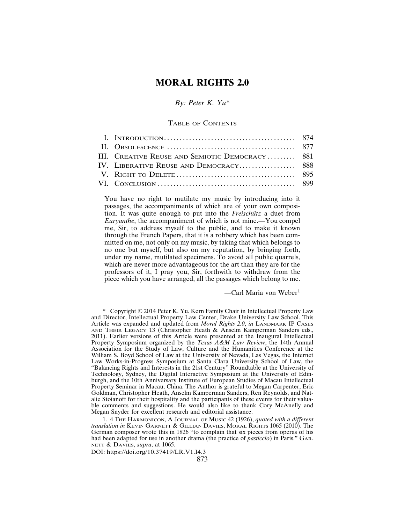# **MORAL RIGHTS 2.0**

*By: Peter K. Yu*\*

TABLE OF CONTENTS

| III. CREATIVE REUSE AND SEMIOTIC DEMOCRACY 881 |  |
|------------------------------------------------|--|
|                                                |  |
|                                                |  |
|                                                |  |

You have no right to mutilate my music by introducing into it passages, the accompaniments of which are of your own composition. It was quite enough to put into the *Freischütz* a duet from *Euryanthe*, the accompaniment of which is not mine.—You compel me, Sir, to address myself to the public, and to make it known through the French Papers, that it is a robbery which has been committed on me, not only on my music, by taking that which belongs to no one but myself, but also on my reputation, by bringing forth, under my name, mutilated specimens. To avoid all public quarrels, which are never more advantageous for the art than they are for the professors of it, I pray you, Sir, forthwith to withdraw from the piece which you have arranged, all the passages which belong to me.

 $-$ Carl Maria von Weber<sup>1</sup>

<sup>\*</sup> Copyright © 2014 Peter K. Yu. Kern Family Chair in Intellectual Property Law and Director, Intellectual Property Law Center, Drake University Law School. This Article was expanded and updated from *Moral Rights 2.0*, *in* LANDMARK IP CASES AND THEIR LEGACY 13 (Christopher Heath & Anselm Kamperman Sanders eds., 2011). Earlier versions of this Article were presented at the Inaugural Intellectual Property Symposium organized by the *Texas A&M Law Review*, the 14th Annual Association for the Study of Law, Culture and the Humanities Conference at the William S. Boyd School of Law at the University of Nevada, Las Vegas, the Internet Law Works-in-Progress Symposium at Santa Clara University School of Law, the "Balancing Rights and Interests in the 21st Century" Roundtable at the University of Technology, Sydney, the Digital Interactive Symposium at the University of Edinburgh, and the 10th Anniversary Institute of European Studies of Macau Intellectual Property Seminar in Macau, China. The Author is grateful to Megan Carpenter, Eric Goldman, Christopher Heath, Anselm Kamperman Sanders, Ren Reynolds, and Natalie Stoianoff for their hospitality and the participants of these events for their valuable comments and suggestions. He would also like to thank Cory McAnelly and Megan Snyder for excellent research and editorial assistance.

<sup>1. 4</sup> THE HARMONICON, A JOURNAL OF MUSIC 42 (1926), *quoted with a different translation in* KEVIN GARNETT & GILLIAN DAVIES, MORAL RIGHTS 1065 (2010). The German composer wrote this in 1826 "to complain that six pieces from operas of his had been adapted for use in another drama (the practice of *pasticcio*) in Paris." GAR-NETT & DAVIES, *supra*, at 1065.

DOI: https://doi.org/10.37419/LR.V1.I4.3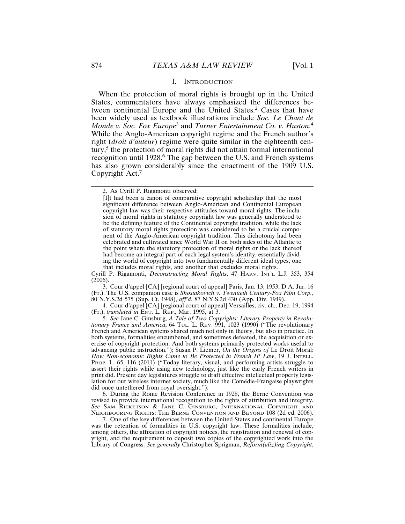#### I. INTRODUCTION

When the protection of moral rights is brought up in the United States, commentators have always emphasized the differences between continental Europe and the United States.<sup>2</sup> Cases that have been widely used as textbook illustrations include *Soc. Le Chant de* Monde v. Soc. Fox Europe<sup>3</sup> and *Turner Entertainment Co. v. Huston*.<sup>4</sup> While the Anglo-American copyright regime and the French author's right (*droit d'auteur*) regime were quite similar in the eighteenth century,<sup>5</sup> the protection of moral rights did not attain formal international recognition until 1928.<sup>6</sup> The gap between the U.S. and French systems has also grown considerably since the enactment of the 1909 U.S. Copyright Act.<sup>7</sup>

that includes moral rights, and another that excludes moral rights. Cyrill P. Rigamonti, *Deconstructing Moral Rights*, 47 HARV. INT'L L.J. 353, 354

(2006). 3. Cour d'appel [CA] [regional court of appeal] Paris, Jan. 13, 1953, D.A. Jur. 16 (Fr.). The U.S. companion case is *Shostakovich v. Twentieth Century-Fox Film Corp.*, 80 N.Y.S.2d 575 (Sup. Ct. 1948), *aff'd*, 87 N.Y.S.2d 430 (App. Div. 1949).

4. Cour d'appel [CA] [regional court of appeal] Versailles, civ. ch., Dec. 19, 1994 (Fr.), *translated in* ENT. L. REP., Mar. 1995, at 3.

5. *See* Jane C. Ginsburg, *A Tale of Two Copyrights: Literary Property in Revolutionary France and America*, 64 TUL. L. REV. 991, 1023 (1990) ("The revolutionary French and American systems shared much not only in theory, but also in practice. In both systems, formalities encumbered, and sometimes defeated, the acquisition or exercise of copyright protection. And both systems primarily protected works useful to advancing public instruction."); Susan P. Liemer, *On the Origins of* Le Droit Moral*: How Non-economic Rights Came to Be Protected in French IP Law*, 19 J. INTELL. PROP. L. 65, 116 (2011) ("Today literary, visual, and performing artists struggle to assert their rights while using new technology, just like the early French writers in print did. Present day legislatures struggle to draft effective intellectual property legislation for our wireless internet society, much like the Comédie-Frangaise playwrights did once untethered from royal oversight.").

6. During the Rome Revision Conference in 1928, the Berne Convention was revised to provide international recognition to the rights of attribution and integrity. *See* SAM RICKETSON & JANE C. GINSBURG, INTERNATIONAL COPYRIGHT AND NEIGHBOURING RIGHTS: THE BERNE CONVENTION AND BEYOND 108 (2d ed. 2006).

7. One of the key differences between the United States and continental Europe was the retention of formalities in U.S. copyright law. These formalities include, among others, the affixation of copyright notices, the registration and renewal of copyright, and the requirement to deposit two copies of the copyrighted work into the Library of Congress. *See generally* Christopher Sprigman, *Reform(aliz)ing Copyright*,

<sup>2.</sup> As Cyrill P. Rigamonti observed:

<sup>[</sup>I]t had been a canon of comparative copyright scholarship that the most significant difference between Anglo-American and Continental European copyright law was their respective attitudes toward moral rights. The inclusion of moral rights in statutory copyright law was generally understood to be the defining feature of the Continental copyright tradition, while the lack of statutory moral rights protection was considered to be a crucial component of the Anglo-American copyright tradition. This dichotomy had been celebrated and cultivated since World War II on both sides of the Atlantic to the point where the statutory protection of moral rights or the lack thereof had become an integral part of each legal system's identity, essentially dividing the world of copyright into two fundamentally different ideal types, one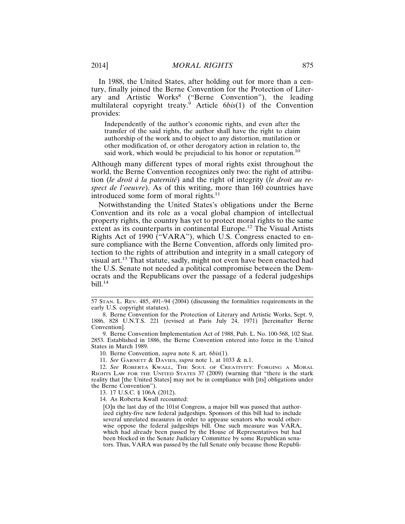In 1988, the United States, after holding out for more than a century, finally joined the Berne Convention for the Protection of Literary and Artistic Works<sup>8</sup> ("Berne Convention"), the leading multilateral copyright treaty.<sup>9</sup> Article 6*bis*(1) of the Convention provides:

Independently of the author's economic rights, and even after the transfer of the said rights, the author shall have the right to claim authorship of the work and to object to any distortion, mutilation or other modification of, or other derogatory action in relation to, the said work, which would be prejudicial to his honor or reputation.<sup>10</sup>

Although many different types of moral rights exist throughout the world, the Berne Convention recognizes only two: the right of attribution (*le droit à la paternité*) and the right of integrity (*le droit au respect de l'oeuvre*). As of this writing, more than 160 countries have introduced some form of moral rights. $11$ 

Notwithstanding the United States's obligations under the Berne Convention and its role as a vocal global champion of intellectual property rights, the country has yet to protect moral rights to the same extent as its counterparts in continental Europe.12 The Visual Artists Rights Act of 1990 ("VARA"), which U.S. Congress enacted to ensure compliance with the Berne Convention, affords only limited protection to the rights of attribution and integrity in a small category of visual art.13 That statute, sadly, might not even have been enacted had the U.S. Senate not needed a political compromise between the Democrats and the Republicans over the passage of a federal judgeships bill.14

9. Berne Convention Implementation Act of 1988, Pub. L. No. 100-568, 102 Stat. 2853. Established in 1886, the Berne Convention entered into force in the United States in March 1989.

10. Berne Convention, *supra* note 8, art. 6*bis*(1).

11. *See* GARNETT & DAVIES, *supra* note 1, at 1033 & n.1.

12. *See* ROBERTA KWALL, THE SOUL OF CREATIVITY: FORGING A MORAL RIGHTS LAW FOR THE UNITED STATES 37 (2009) (warning that "there is the stark reality that [the United States] may not be in compliance with [its] obligations under the Berne Convention").

13. 17 U.S.C. § 106A (2012).

14. As Roberta Kwall recounted:

[O]n the last day of the 101st Congress, a major bill was passed that authorized eighty-five new federal judgeships. Sponsors of this bill had to include several unrelated measures in order to appease senators who would otherwise oppose the federal judgeships bill. One such measure was VARA, which had already been passed by the House of Representatives but had been blocked in the Senate Judiciary Committee by some Republican senators. Thus, VARA was passed by the full Senate only because those Republi-

<sup>57</sup> STAN. L. REV. 485, 491–94 (2004) (discussing the formalities requirements in the early U.S. copyright statutes).

<sup>8.</sup> Berne Convention for the Protection of Literary and Artistic Works, Sept. 9, 1886, 828 U.N.T.S. 221 (revised at Paris July 24, 1971) [hereinafter Berne Convention].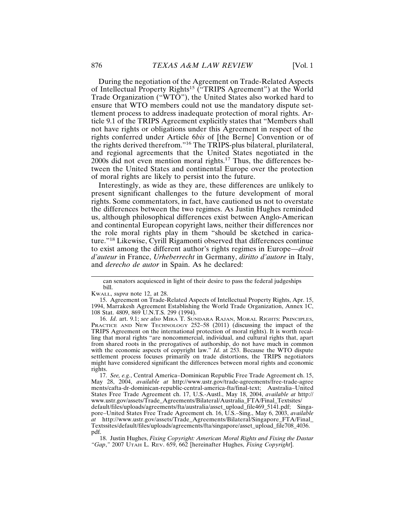During the negotiation of the Agreement on Trade-Related Aspects of Intellectual Property Rights15 ("TRIPS Agreement") at the World Trade Organization ("WTO"), the United States also worked hard to ensure that WTO members could not use the mandatory dispute settlement process to address inadequate protection of moral rights. Article 9.1 of the TRIPS Agreement explicitly states that "Members shall not have rights or obligations under this Agreement in respect of the rights conferred under Article 6*bis* of [the Berne] Convention or of the rights derived therefrom."16 The TRIPS-plus bilateral, plurilateral, and regional agreements that the United States negotiated in the 2000s did not even mention moral rights.17 Thus, the differences between the United States and continental Europe over the protection of moral rights are likely to persist into the future.

Interestingly, as wide as they are, these differences are unlikely to present significant challenges to the future development of moral rights. Some commentators, in fact, have cautioned us not to overstate the differences between the two regimes. As Justin Hughes reminded us, although philosophical differences exist between Anglo-American and continental European copyright laws, neither their differences nor the role moral rights play in them "should be sketched in caricature."18 Likewise, Cyrill Rigamonti observed that differences continue to exist among the different author's rights regimes in Europe—*droit d'auteur* in France, *Urheberrecht* in Germany, *diritto d'autore* in Italy, and *derecho de autor* in Spain. As he declared:

16. *Id*. art. 9.1; *see also* MIRA T. SUNDARA RAJAN, MORAL RIGHTS: PRINCIPLES, PRACTICE AND NEW TECHNOLOGY 252–58 (2011) (discussing the impact of the TRIPS Agreement on the international protection of moral rights). It is worth recalling that moral rights "are noncommercial, individual, and cultural rights that, apart from shared roots in the prerogatives of authorship, do not have much in common with the economic aspects of copyright law." *Id*. at 253. Because the WTO dispute settlement process focuses primarily on trade distortions, the TRIPS negotiators might have considered significant the differences between moral rights and economic rights.

17. *See, e.g.*, Central America–Dominican Republic Free Trade Agreement ch. 15, May 28, 2004, *available at* http://www.ustr.gov/trade-agreements/free-trade-agree ments/cafta-dr-dominican-republic-central-america-fta/final-text; Australia–United States Free Trade Agreement ch. 17, U.S.-Austl., May 18, 2004, *available at* http:// www.ustr.gov/assets/Trade\_Agreements/Bilateral/Australia\_FTA/Final\_Textsites/

default/files/uploads/agreements/fta/australia/asset\_upload\_file469\_5141.pdf; Singapore–United States Free Trade Agreement ch. 16, U.S.–Sing., May 6, 2003, *available at* http://www.ustr.gov/assets/Trade\_Agreements/Bilateral/Singapore\_FTA/Final\_ Textssites/default/files/uploads/agreements/fta/singapore/asset\_upload\_file708\_4036. pdf.

18. Justin Hughes, *Fixing Copyright: American Moral Rights and Fixing the Dastar "Gap*,*"* 2007 UTAH L. REV. 659, 662 [hereinafter Hughes, *Fixing Copyright*].

can senators acquiesced in light of their desire to pass the federal judgeships bill.

KWALL, *supra* note 12, at 28.

<sup>15.</sup> Agreement on Trade-Related Aspects of Intellectual Property Rights, Apr. 15, 1994, Marrakesh Agreement Establishing the World Trade Organization, Annex 1C, 108 Stat. 4809, 869 U.N.T.S. 299 (1994).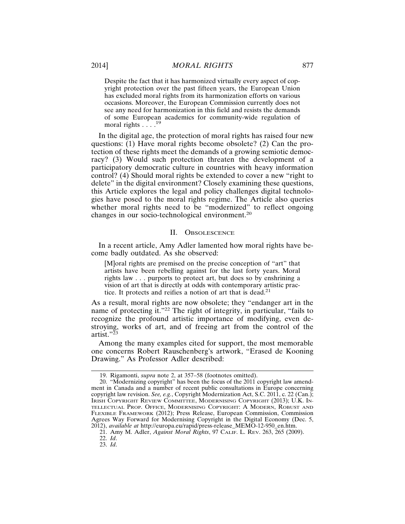Despite the fact that it has harmonized virtually every aspect of copyright protection over the past fifteen years, the European Union has excluded moral rights from its harmonization efforts on various occasions. Moreover, the European Commission currently does not see any need for harmonization in this field and resists the demands of some European academics for community-wide regulation of moral rights  $\ldots$ .<sup>19</sup>

In the digital age, the protection of moral rights has raised four new questions: (1) Have moral rights become obsolete? (2) Can the protection of these rights meet the demands of a growing semiotic democracy? (3) Would such protection threaten the development of a participatory democratic culture in countries with heavy information control? (4) Should moral rights be extended to cover a new "right to delete" in the digital environment? Closely examining these questions, this Article explores the legal and policy challenges digital technologies have posed to the moral rights regime. The Article also queries whether moral rights need to be "modernized" to reflect ongoing changes in our socio-technological environment.<sup>20</sup>

### II. OBSOLESCENCE

In a recent article, Amy Adler lamented how moral rights have become badly outdated. As she observed:

[M]oral rights are premised on the precise conception of "art" that artists have been rebelling against for the last forty years. Moral rights law . . . purports to protect art, but does so by enshrining a vision of art that is directly at odds with contemporary artistic practice. It protects and reifies a notion of art that is dead.<sup>21</sup>

As a result, moral rights are now obsolete; they "endanger art in the name of protecting it."<sup>22</sup> The right of integrity, in particular, "fails to recognize the profound artistic importance of modifying, even destroying, works of art, and of freeing art from the control of the artist."<sup>23</sup>

Among the many examples cited for support, the most memorable one concerns Robert Rauschenberg's artwork, "Erased de Kooning Drawing." As Professor Adler described:

22. *Id*.

23. *Id*.

<sup>19.</sup> Rigamonti, *supra* note 2, at 357–58 (footnotes omitted).

<sup>20. &</sup>quot;Modernizing copyright" has been the focus of the 2011 copyright law amendment in Canada and a number of recent public consultations in Europe concerning copyright law revision. *See, e.g.*, Copyright Modernization Act, S.C. 2011, c. 22 (Can.); IRISH COPYRIGHT REVIEW COMMITTEE, MODERNISING COPYRIGHT (2013); U.K. IN-TELLECTUAL PROP. OFFICE, MODERNISING COPYRIGHT: A MODERN, ROBUST AND FLEXIBLE FRAMEWORK (2012); Press Release, European Commission, Commission Agrees Way Forward for Modernising Copyright in the Digital Economy (Dec. 5, 2012), *available at* http://europa.eu/rapid/press-release\_MEMO-12-950\_en.htm.

<sup>21.</sup> Amy M. Adler, *Against Moral Rights*, 97 CALIF. L. REV. 263, 265 (2009).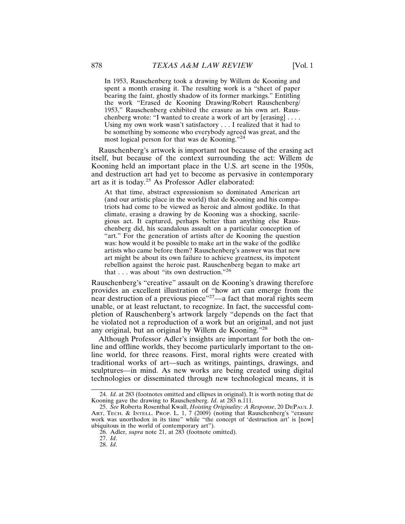In 1953, Rauschenberg took a drawing by Willem de Kooning and spent a month erasing it. The resulting work is a "sheet of paper bearing the faint, ghostly shadow of its former markings." Entitling the work "Erased de Kooning Drawing/Robert Rauschenberg/ 1953," Rauschenberg exhibited the erasure as his own art. Rauschenberg wrote: "I wanted to create a work of art by [erasing] . . . . Using my own work wasn't satisfactory . . . I realized that it had to be something by someone who everybody agreed was great, and the most logical person for that was de Kooning."<sup>24</sup>

Rauschenberg's artwork is important not because of the erasing act itself, but because of the context surrounding the act: Willem de Kooning held an important place in the U.S. art scene in the 1950s, and destruction art had yet to become as pervasive in contemporary art as it is today.25 As Professor Adler elaborated:

At that time, abstract expressionism so dominated American art (and our artistic place in the world) that de Kooning and his compatriots had come to be viewed as heroic and almost godlike. In that climate, erasing a drawing by de Kooning was a shocking, sacrilegious act. It captured, perhaps better than anything else Rauschenberg did, his scandalous assault on a particular conception of "art." For the generation of artists after de Kooning the question was: how would it be possible to make art in the wake of the godlike artists who came before them? Rauschenberg's answer was that new art might be about its own failure to achieve greatness, its impotent rebellion against the heroic past. Rauschenberg began to make art that . . . was about "its own destruction."<sup>26</sup>

Rauschenberg's "creative" assault on de Kooning's drawing therefore provides an excellent illustration of "how art can emerge from the near destruction of a previous piece"<sup>27</sup>—a fact that moral rights seem unable, or at least reluctant, to recognize. In fact, the successful completion of Rauschenberg's artwork largely "depends on the fact that he violated not a reproduction of a work but an original, and not just any original, but an original by Willem de Kooning."<sup>28</sup>

Although Professor Adler's insights are important for both the online and offline worlds, they become particularly important to the online world, for three reasons. First, moral rights were created with traditional works of art—such as writings, paintings, drawings, and sculptures—in mind. As new works are being created using digital technologies or disseminated through new technological means, it is

27. *Id*.

<sup>24.</sup> *Id*. at 283 (footnotes omitted and ellipses in original). It is worth noting that de Kooning gave the drawing to Rauschenberg. *Id*. at 283 n.111.

<sup>25.</sup> *See* Roberta Rosenthal Kwall, *Hoisting Originality: A Response*, 20 DEPAUL J. ART, TECH. & INTELL. PROP. L. 1, 7 (2009) (noting that Rauschenberg's "erasure work was unorthodox in its time" while "the concept of 'destruction art' is [now] ubiquitous in the world of contemporary art").

<sup>26.</sup> Adler, *supra* note 21, at 283 (footnote omitted).

<sup>28.</sup> *Id*.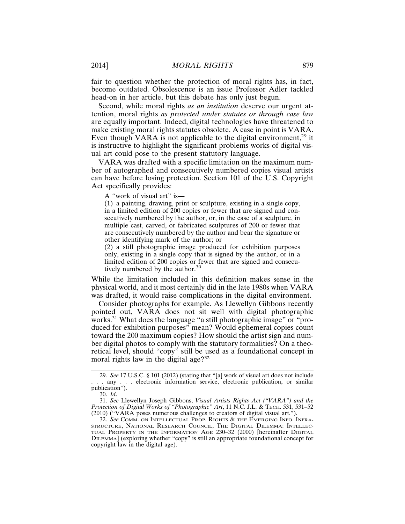fair to question whether the protection of moral rights has, in fact, become outdated. Obsolescence is an issue Professor Adler tackled head-on in her article, but this debate has only just begun.

Second, while moral rights *as an institution* deserve our urgent attention, moral rights *as protected under statutes or through case law* are equally important. Indeed, digital technologies have threatened to make existing moral rights statutes obsolete. A case in point is VARA. Even though VARA is not applicable to the digital environment,<sup>29</sup> it is instructive to highlight the significant problems works of digital visual art could pose to the present statutory language.

VARA was drafted with a specific limitation on the maximum number of autographed and consecutively numbered copies visual artists can have before losing protection. Section 101 of the U.S. Copyright Act specifically provides:

A "work of visual art" is—

(1) a painting, drawing, print or sculpture, existing in a single copy, in a limited edition of 200 copies or fewer that are signed and consecutively numbered by the author, or, in the case of a sculpture, in multiple cast, carved, or fabricated sculptures of 200 or fewer that are consecutively numbered by the author and bear the signature or other identifying mark of the author; or

(2) a still photographic image produced for exhibition purposes only, existing in a single copy that is signed by the author, or in a limited edition of 200 copies or fewer that are signed and consecutively numbered by the author.<sup>30</sup>

While the limitation included in this definition makes sense in the physical world, and it most certainly did in the late 1980s when VARA was drafted, it would raise complications in the digital environment.

Consider photographs for example. As Llewellyn Gibbons recently pointed out, VARA does not sit well with digital photographic works.31 What does the language "a still photographic image" or "produced for exhibition purposes" mean? Would ephemeral copies count toward the 200 maximum copies? How should the artist sign and number digital photos to comply with the statutory formalities? On a theoretical level, should "copy" still be used as a foundational concept in moral rights law in the digital age?32

<sup>29.</sup> *See* 17 U.S.C. § 101 (2012) (stating that "[a] work of visual art does not include . any . . . electronic information service, electronic publication, or similar publication").

<sup>30.</sup> *Id*.

<sup>31.</sup> *See* Llewellyn Joseph Gibbons, *Visual Artists Rights Act ("VARA") and the Protection of Digital Works of "Photographic" Art*, 11 N.C. J.L. & TECH. 531, 531–52 (2010) ("VARA poses numerous challenges to creators of digital visual art.").

<sup>32.</sup> *See* COMM. ON INTELLECTUAL PROP. RIGHTS & THE EMERGING INFO. INFRA-STRUCTURE, NATIONAL RESEARCH COUNCIL, THE DIGITAL DILEMMA: INTELLEC-TUAL PROPERTY IN THE INFORMATION AGE 230–32 (2000) [hereinafter DIGITAL DILEMMA] (exploring whether "copy" is still an appropriate foundational concept for copyright law in the digital age).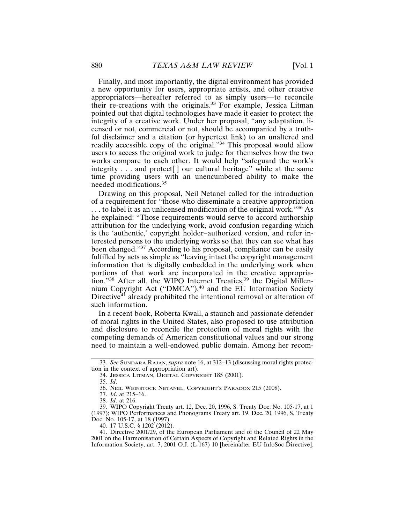Finally, and most importantly, the digital environment has provided a new opportunity for users, appropriate artists, and other creative appropriators—hereafter referred to as simply users—to reconcile their re-creations with the originals.<sup>33</sup> For example, Jessica Litman pointed out that digital technologies have made it easier to protect the integrity of a creative work. Under her proposal, "any adaptation, licensed or not, commercial or not, should be accompanied by a truthful disclaimer and a citation (or hypertext link) to an unaltered and readily accessible copy of the original."<sup>34</sup> This proposal would allow users to access the original work to judge for themselves how the two works compare to each other. It would help "safeguard the work's integrity . . . and protect[ ] our cultural heritage" while at the same time providing users with an unencumbered ability to make the needed modifications.<sup>35</sup>

Drawing on this proposal, Neil Netanel called for the introduction of a requirement for "those who disseminate a creative appropriation ... to label it as an unlicensed modification of the original work."<sup>36</sup> As he explained: "Those requirements would serve to accord authorship attribution for the underlying work, avoid confusion regarding which is the 'authentic,' copyright holder–authorized version, and refer interested persons to the underlying works so that they can see what has been changed."37 According to his proposal, compliance can be easily fulfilled by acts as simple as "leaving intact the copyright management information that is digitally embedded in the underlying work when portions of that work are incorporated in the creative appropriation."<sup>38</sup> After all, the WIPO Internet Treaties,<sup>39</sup> the Digital Millennium Copyright Act ("DMCA"),<sup>40</sup> and the EU Information Society Directive<sup>41</sup> already prohibited the intentional removal or alteration of such information.

In a recent book, Roberta Kwall, a staunch and passionate defender of moral rights in the United States, also proposed to use attribution and disclosure to reconcile the protection of moral rights with the competing demands of American constitutional values and our strong need to maintain a well-endowed public domain. Among her recom-

<sup>33.</sup> *See* SUNDARA RAJAN, *supra* note 16, at 312–13 (discussing moral rights protection in the context of appropriation art).

<sup>34.</sup> JESSICA LITMAN, DIGITAL COPYRIGHT 185 (2001).

<sup>35.</sup> *Id*.

<sup>36.</sup> NEIL WEINSTOCK NETANEL, COPYRIGHT'S PARADOX 215 (2008).

<sup>37.</sup> *Id*. at 215–16.

<sup>38.</sup> *Id*. at 216.

<sup>39.</sup> WIPO Copyright Treaty art. 12, Dec. 20, 1996, S. Treaty Doc. No. 105-17, at 1 (1997); WIPO Performances and Phonograms Treaty art. 19, Dec. 20, 1996, S. Treaty Doc. No. 105-17, at 18 (1997).

<sup>40. 17</sup> U.S.C. § 1202 (2012).

<sup>41.</sup> Directive 2001/29, of the European Parliament and of the Council of 22 May 2001 on the Harmonisation of Certain Aspects of Copyright and Related Rights in the Information Society, art. 7, 2001 O.J. (L 167) 10 [hereinafter EU InfoSoc Directive].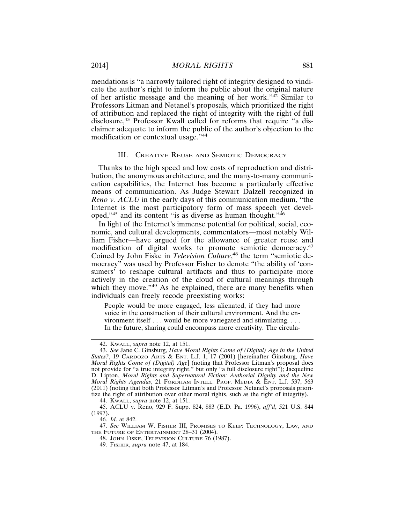mendations is "a narrowly tailored right of integrity designed to vindicate the author's right to inform the public about the original nature of her artistic message and the meaning of her work."42 Similar to Professors Litman and Netanel's proposals, which prioritized the right of attribution and replaced the right of integrity with the right of full disclosure,43 Professor Kwall called for reforms that require "a disclaimer adequate to inform the public of the author's objection to the modification or contextual usage."<sup>44</sup>

#### III. CREATIVE REUSE AND SEMIOTIC DEMOCRACY

Thanks to the high speed and low costs of reproduction and distribution, the anonymous architecture, and the many-to-many communication capabilities, the Internet has become a particularly effective means of communication. As Judge Stewart Dalzell recognized in *Reno v. ACLU* in the early days of this communication medium, "the Internet is the most participatory form of mass speech yet developed,"45 and its content "is as diverse as human thought."46

In light of the Internet's immense potential for political, social, economic, and cultural developments, commentators—most notably William Fisher—have argued for the allowance of greater reuse and modification of digital works to promote semiotic democracy.47 Coined by John Fiske in *Television Culture*, 48 the term "semiotic democracy" was used by Professor Fisher to denote "the ability of 'consumers' to reshape cultural artifacts and thus to participate more actively in the creation of the cloud of cultural meanings through which they move."<sup>49</sup> As he explained, there are many benefits when individuals can freely recode preexisting works:

People would be more engaged, less alienated, if they had more voice in the construction of their cultural environment. And the environment itself . . . would be more variegated and stimulating. . . . In the future, sharing could encompass more creativity. The circula-

47. *See* WILLIAM W. FISHER III, PROMISES TO KEEP: TECHNOLOGY, LAW, AND THE FUTURE OF ENTERTAINMENT 28-31 (2004).

<sup>42.</sup> KWALL, *supra* note 12, at 151.

<sup>43.</sup> *See* Jane C. Ginsburg, *Have Moral Rights Come of (Digital) Age in the United States?*, 19 CARDOZO ARTS & ENT. L.J. 1, 17 (2001) [hereinafter Ginsburg, *Have Moral Rights Come of (Digital) Age*] (noting that Professor Litman's proposal does not provide for "a true integrity right," but only "a full disclosure right"); Jacqueline D. Lipton, *Moral Rights and Supernatural Fiction: Authorial Dignity and the New Moral Rights Agendas*, 21 FORDHAM INTELL. PROP. MEDIA & ENT. L.J. 537, 563 (2011) (noting that both Professor Litman's and Professor Netanel's proposals prioritize the right of attribution over other moral rights, such as the right of integrity).

<sup>44.</sup> KWALL, *supra* note 12, at 151.

<sup>45.</sup> ACLU v. Reno, 929 F. Supp. 824, 883 (E.D. Pa. 1996), *aff'd*, 521 U.S. 844 (1997).

<sup>46.</sup> *Id*. at 842.

<sup>48.</sup> JOHN FISKE, TELEVISION CULTURE 76 (1987).

<sup>49.</sup> FISHER, *supra* note 47, at 184.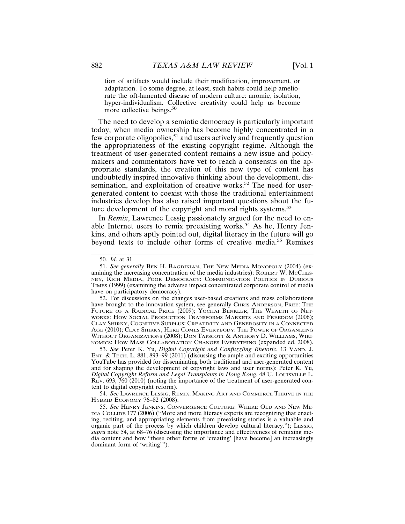tion of artifacts would include their modification, improvement, or adaptation. To some degree, at least, such habits could help ameliorate the oft-lamented disease of modern culture: anomie, isolation, hyper-individualism. Collective creativity could help us become more collective beings.<sup>50</sup>

The need to develop a semiotic democracy is particularly important today, when media ownership has become highly concentrated in a  $f_{\text{ew}}$  corporate oligopolies,<sup>51</sup> and users actively and frequently question the appropriateness of the existing copyright regime. Although the treatment of user-generated content remains a new issue and policymakers and commentators have yet to reach a consensus on the appropriate standards, the creation of this new type of content has undoubtedly inspired innovative thinking about the development, dissemination, and exploitation of creative works.<sup>52</sup> The need for usergenerated content to coexist with those the traditional entertainment industries develop has also raised important questions about the future development of the copyright and moral rights systems.<sup>53</sup>

In *Remix*, Lawrence Lessig passionately argued for the need to enable Internet users to remix preexisting works.<sup>54</sup> As he, Henry Jenkins, and others aptly pointed out, digital literacy in the future will go beyond texts to include other forms of creative media.<sup>55</sup> Remixes

53. *See* Peter K. Yu, *Digital Copyright and Confuzzling Rhetoric*, 13 VAND. J. ENT. & TECH. L. 881, 893–99 (2011) (discussing the ample and exciting opportunities YouTube has provided for disseminating both traditional and user-generated content and for shaping the development of copyright laws and user norms); Peter K. Yu, *Digital Copyright Reform and Legal Transplants in Hong Kong*, 48 U. LOUISVILLE L. REV. 693, 760 (2010) (noting the importance of the treatment of user-generated content to digital copyright reform).

54. *See* LAWRENCE LESSIG, REMIX: MAKING ART AND COMMERCE THRIVE IN THE HYBRID ECONOMY 76–82 (2008).

55. *See* HENRY JENKINS, CONVERGENCE CULTURE: WHERE OLD AND NEW ME-DIA COLLIDE 177 (2006) ("More and more literacy experts are recognizing that enacting, reciting, and appropriating elements from preexisting stories is a valuable and organic part of the process by which children develop cultural literacy."); LESSIG, *supra* note 54, at 68–76 (discussing the importance and effectiveness of remixing media content and how "these other forms of 'creating' [have become] an increasingly dominant form of 'writing'").

<sup>50.</sup> *Id*. at 31.

<sup>51.</sup> *See generally* BEN H. BAGDIKIAN, THE NEW MEDIA MONOPOLY (2004) (examining the increasing concentration of the media industries); ROBERT W. MCCHES-NEY, RICH MEDIA, POOR DEMOCRACY: COMMUNICATION POLITICS IN DUBIOUS TIMES (1999) (examining the adverse impact concentrated corporate control of media have on participatory democracy).

<sup>52.</sup> For discussions on the changes user-based creations and mass collaborations have brought to the innovation system, see generally CHRIS ANDERSON, FREE: THE FUTURE OF A RADICAL PRICE (2009); YOCHAI BENKLER, THE WEALTH OF NET-WORKS: HOW SOCIAL PRODUCTION TRANSFORMS MARKETS AND FREEDOM (2006); CLAY SHIRKY, COGNITIVE SURPLUS: CREATIVITY AND GENEROSITY IN A CONNECTED AGE (2010); CLAY SHIRKY, HERE COMES EVERYBODY: THE POWER OF ORGANIZING WITHOUT ORGANIZATIONS (2008); DON TAPSCOTT & ANTHONY D. WILLIAMS, WIKI-NOMICS: HOW MASS COLLABORATION CHANGES EVERYTHING (expanded ed. 2008).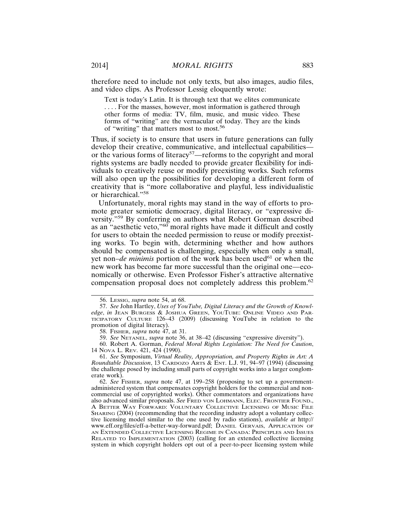therefore need to include not only texts, but also images, audio files, and video clips. As Professor Lessig eloquently wrote:

Text is today's Latin. It is through text that we elites communicate . . . . For the masses, however, most information is gathered through other forms of media: TV, film, music, and music video. These forms of "writing" are the vernacular of today. They are the kinds of "writing" that matters most to most.<sup>56</sup>

Thus, if society is to ensure that users in future generations can fully develop their creative, communicative, and intellectual capabilities or the various forms of literacy<sup>57</sup>—reforms to the copyright and moral rights systems are badly needed to provide greater flexibility for individuals to creatively reuse or modify preexisting works. Such reforms will also open up the possibilities for developing a different form of creativity that is "more collaborative and playful, less individualistic or hierarchical."<sup>58</sup>

Unfortunately, moral rights may stand in the way of efforts to promote greater semiotic democracy, digital literacy, or "expressive diversity."59 By conferring on authors what Robert Gorman described as an "aesthetic veto," $60$  moral rights have made it difficult and costly for users to obtain the needed permission to reuse or modify preexisting works. To begin with, determining whether and how authors should be compensated is challenging, especially when only a small, yet non–*de minimis* portion of the work has been used<sup>61</sup> or when the new work has become far more successful than the original one—economically or otherwise. Even Professor Fisher's attractive alternative compensation proposal does not completely address this problem.<sup>62</sup>

58. FISHER, *supra* note 47, at 31.

61. *See* Symposium, *Virtual Reality, Appropriation, and Property Rights in Art: A Roundtable Discussion*, 13 CARDOZO ARTS & ENT. L.J. 91, 94–97 (1994) (discussing the challenge posed by including small parts of copyright works into a larger conglomerate work).

62. *See* FISHER, *supra* note 47, at 199–258 (proposing to set up a governmentadministered system that compensates copyright holders for the commercial and noncommercial use of copyrighted works). Other commentators and organizations have also advanced similar proposals. See FRED VON LOHMANN, ELEC. FRONTIER FOUND., A BETTER WAY FORWARD: VOLUNTARY COLLECTIVE LICENSING OF MUSIC FILE SHARING (2004) (recommending that the recording industry adopt a voluntary collective licensing model similar to the one used by radio stations), *available at* http:// www.eff.org/files/eff-a-better-way-forward.pdf; DANIEL GERVAIS, APPLICATION OF AN EXTENDED COLLECTIVE LICENSING REGIME IN CANADA: PRINCIPLES AND ISSUES RELATED TO IMPLEMENTATION (2003) (calling for an extended collective licensing system in which copyright holders opt out of a peer-to-peer licensing system while

<sup>56.</sup> LESSIG, *supra* note 54, at 68.

<sup>57.</sup> *See* John Hartley, *Uses of YouTube, Digital Literacy and the Growth of Knowledge*, *in* JEAN BURGESS & JOSHUA GREEN, YOUTUBE: ONLINE VIDEO AND PAR-TICIPATORY CULTURE 126–43 (2009) (discussing YouTube in relation to the promotion of digital literacy).

<sup>59.</sup> *See* NETANEL, *supra* note 36, at 38–42 (discussing "expressive diversity").

<sup>60.</sup> Robert A. Gorman, *Federal Moral Rights Legislation: The Need for Caution*, 14 NOVA L. REV. 421, 424 (1990).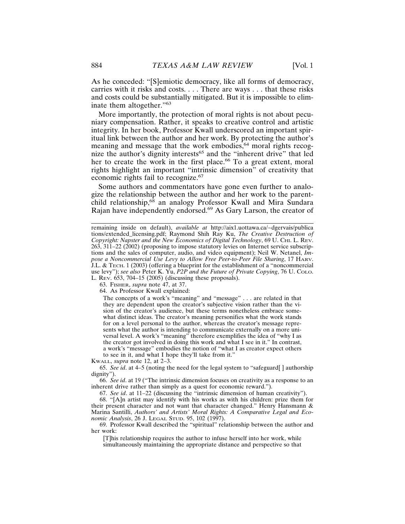As he conceded: "[S]emiotic democracy, like all forms of democracy, carries with it risks and costs. . . . There are ways . . . that these risks and costs could be substantially mitigated. But it is impossible to eliminate them altogether."<sup>63</sup>

More importantly, the protection of moral rights is not about pecuniary compensation. Rather, it speaks to creative control and artistic integrity. In her book, Professor Kwall underscored an important spiritual link between the author and her work. By protecting the author's meaning and message that the work embodies,<sup>64</sup> moral rights recognize the author's dignity interests<sup>65</sup> and the "inherent drive" that led her to create the work in the first place.<sup>66</sup> To a great extent, moral rights highlight an important "intrinsic dimension" of creativity that economic rights fail to recognize.<sup>67</sup>

Some authors and commentators have gone even further to analogize the relationship between the author and her work to the parentchild relationship,<sup>68</sup> an analogy Professor Kwall and Mira Sundara Rajan have independently endorsed.<sup>69</sup> As Gary Larson, the creator of

63. FISHER, *supra* note 47, at 37.

64. As Professor Kwall explained:

The concepts of a work's "meaning" and "message" . . . are related in that they are dependent upon the creator's subjective vision rather than the vision of the creator's audience, but these terms nonetheless embrace somewhat distinct ideas. The creator's meaning personifies what the work stands for on a level personal to the author, whereas the creator's message represents what the author is intending to communicate externally on a more universal level. A work's "meaning" therefore exemplifies the idea of "why I as the creator got involved in doing this work and what I see in it." In contrast, a work's "message" embodies the notion of "what I as creator expect others to see in it, and what I hope they'll take from it."

KWALL, *supra* note 12, at 2–3.

65. *See id*. at 4–5 (noting the need for the legal system to "safeguard[ ] authorship dignity").

66. *See id*. at 19 ("The intrinsic dimension focuses on creativity as a response to an inherent drive rather than simply as a quest for economic reward.").

67. *See id*. at 11–22 (discussing the "intrinsic dimension of human creativity").

68. "[A]n artist may identify with his works as with his children: prize them for their present character and not want that character changed." Henry Hansmann & Marina Santilli, *Authors' and Artists' Moral Rights: A Comparative Legal and Economic Analysis*, 26 J. LEGAL STUD. 95, 102 (1997).

69. Professor Kwall described the "spiritual" relationship between the author and her work:

[T]his relationship requires the author to infuse herself into her work, while simultaneously maintaining the appropriate distance and perspective so that

remaining inside on default), *available at* http://aix1.uottawa.ca/~dgervais/publica tions/extended\_licensing.pdf; Raymond Shih Ray Ku, *The Creative Destruction of Copyright: Napster and the New Economics of Digital Technology*, 69 U. CHI. L. REV. 263, 311–22 (2002) (proposing to impose statutory levies on Internet service subscriptions and the sales of computer, audio, and video equipment); Neil W. Netanel, *Impose a Noncommercial Use Levy to Allow Free Peer-to-Peer File Sharing*, 17 HARV. J.L. & TECH. 1 (2003) (offering a blueprint for the establishment of a "noncommercial use levy"); *see also* Peter K. Yu, *P2P and the Future of Private Copying*, 76 U. COLO. L. REV. 653, 704–15 (2005) (discussing these proposals).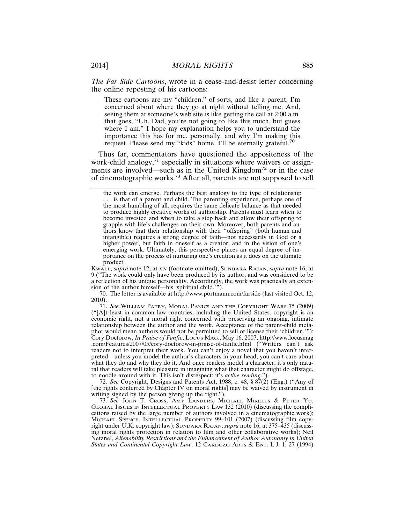*The Far Side Cartoons*, wrote in a cease-and-desist letter concerning the online reposting of his cartoons:

These cartoons are my "children," of sorts, and like a parent, I'm concerned about where they go at night without telling me. And, seeing them at someone's web site is like getting the call at 2:00 a.m. that goes, "Uh, Dad, you're not going to like this much, but guess where I am." I hope my explanation helps you to understand the importance this has for me, personally, and why I'm making this request. Please send my "kids" home. I'll be eternally grateful.<sup>70</sup>

Thus far, commentators have questioned the appositeness of the work-child analogy,<sup>71</sup> especially in situations where waivers or assignments are involved—such as in the United Kingdom<sup>72</sup> or in the case of cinematographic works.73 After all, parents are not supposed to sell

KWALL, *supra* note 12, at xiv (footnote omitted); SUNDARA RAJAN, *supra* note 16, at 9 ("The work could only have been produced by its author, and was considered to be a reflection of his unique personality. Accordingly, the work was practically an extension of the author himself—his 'spiritual child.'").

70. The letter is available at http://www.portmann.com/farside (last visited Oct. 12, 2010).

71. *See* WILLIAM PATRY, MORAL PANICS AND THE COPYRIGHT WARS 75 (2009) ("[A]t least in common law countries, including the United States, copyright is an economic right, not a moral right concerned with preserving an ongoing, intimate relationship between the author and the work. Acceptance of the parent-child metaphor would mean authors would not be permitted to sell or license their 'children.'"); Cory Doctorow, *In Praise of Fanfic*, LOCUS MAG., May 16, 2007, http://www.locusmag .com/Features/2007/05/cory-doctorow-in-praise-of-fanfic.html ("Writers can't ask readers not to interpret their work. You can't enjoy a novel that you haven't interpreted—unless you model the author's characters in your head, you can't care about what they do and why they do it. And once readers model a character, it's only natural that readers will take pleasure in imagining what that character might do offstage, to noodle around with it. This isn't disrespect: it's *active reading*.").

72. *See* Copyright, Designs and Patents Act, 1988, c. 48, § 87(2) (Eng.) ("Any of [the rights conferred by Chapter IV on moral rights] may be waived by instrument in writing signed by the person giving up the right.").

73. *See* JOHN T. CROSS, AMY LANDERS, MICHAEL MIRELES & PETER YU, GLOBAL ISSUES IN INTELLECTUAL PROPERTY LAW 132 (2010) (discussing the complications raised by the large number of authors involved in a cinematographic work); MICHAEL SPENCE, INTELLECTUAL PROPERTY 99–101 (2007) (discussing film copyright under U.K. copyright law); SUNDARA RAJAN, *supra* note 16, at 375–435 (discussing moral rights protection in relation to film and other collaborative works); Neil Netanel, *Alienability Restrictions and the Enhancement of Author Autonomy in United States and Continental Copyright Law*, 12 CARDOZO ARTS & ENT. L.J. 1, 27 (1994)

the work can emerge. Perhaps the best analogy to the type of relationship . . . is that of a parent and child. The parenting experience, perhaps one of the most humbling of all, requires the same delicate balance as that needed to produce highly creative works of authorship. Parents must learn when to become invested and when to take a step back and allow their offspring to grapple with life's challenges on their own. Moreover, both parents and authors know that their relationship with their "offspring" (both human and intangible) requires a strong degree of faith—not necessarily in God or a higher power, but faith in oneself as a creator, and in the vision of one's emerging work. Ultimately, this perspective places an equal degree of importance on the process of nurturing one's creation as it does on the ultimate product.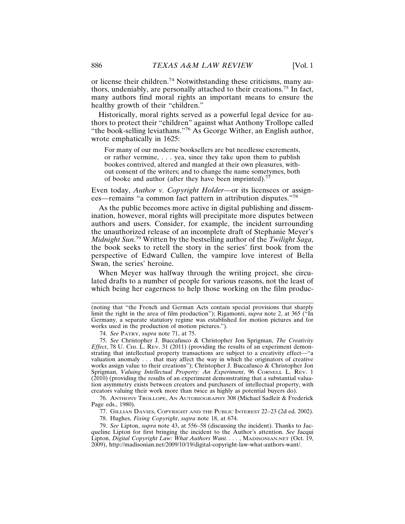or license their children.74 Notwithstanding these criticisms, many authors, undeniably, are personally attached to their creations.75 In fact, many authors find moral rights an important means to ensure the healthy growth of their "children."

Historically, moral rights served as a powerful legal device for authors to protect their "children" against what Anthony Trollope called "the book-selling leviathans."76 As George Wither, an English author, wrote emphatically in 1625:

For many of our moderne booksellers are but needlesse excrements, or rather vermine, . . . yea, since they take upon them to publish bookes contrived, altered and mangled at their own pleasures, without consent of the writers; and to change the name sometymes, both of booke and author (after they have been imprinted).<sup>77</sup>

Even today, *Author v. Copyright Holder*—or its licensees or assignees—remains "a common fact pattern in attribution disputes."78

As the public becomes more active in digital publishing and dissemination, however, moral rights will precipitate more disputes between authors and users. Consider, for example, the incident surrounding the unauthorized release of an incomplete draft of Stephanie Meyer's *Midnight Sun*. 79 Written by the bestselling author of the *Twilight Saga*, the book seeks to retell the story in the series' first book from the perspective of Edward Cullen, the vampire love interest of Bella Swan, the series' heroine.

When Meyer was halfway through the writing project, she circulated drafts to a number of people for various reasons, not the least of which being her eagerness to help those working on the film produc-

76. ANTHONY TROLLOPE, AN AUTOBIOGRAPHY 308 (Michael Sadleir & Frederick Page eds., 1980).

77. GILLIAN DAVIES, COPYRIGHT AND THE PUBLIC INTEREST 22–23 (2d ed. 2002).

78. Hughes, *Fixing Copyright*, *supra* note 18, at 674.

79. *See* Lipton, *supra* note 43, at 556–58 (discussing the incident). Thanks to Jacqueline Lipton for first bringing the incident to the Author's attention. *See* Jacqui Lipton, *Digital Copyright Law: What Authors Want. . . .* , MADISONIAN.NET (Oct. 19, 2009), http://madisonian.net/2009/10/19/digital-copyright-law-what-authors-want/.

<sup>(</sup>noting that "the French and German Acts contain special provisions that sharply limit the right in the area of film production"); Rigamonti, *supra* note 2, at 365 ("In Germany, a separate statutory regime was established for motion pictures and for works used in the production of motion pictures.").

<sup>74.</sup> *See* PATRY, *supra* note 71, at 75.

<sup>75.</sup> *See* Christopher J. Buccafusco & Christopher Jon Sprigman, *The Creativity Effect*, 78 U. CHI. L. REV. 31 (2011) (providing the results of an experiment demonstrating that intellectual property transactions are subject to a creativity effect—"a valuation anomaly . . . that may affect the way in which the originators of creative works assign value to their creations"); Christopher J. Buccafusco & Christopher Jon Sprigman, *Valuing Intellectual Property: An Experiment*, 96 CORNELL L. REV. 1 (2010) (providing the results of an experiment demonstrating that a substantial valuation asymmetry exists between creators and purchasers of intellectual property, with creators valuing their work more than twice as highly as potential buyers do).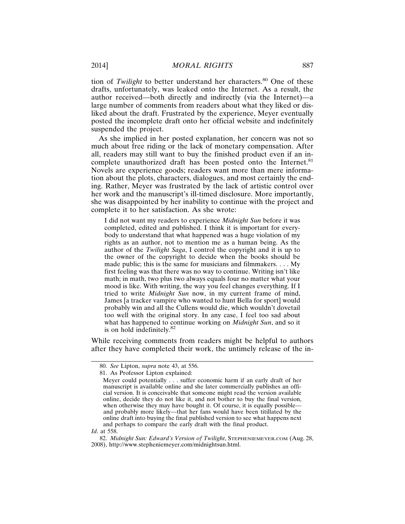tion of *Twilight* to better understand her characters.<sup>80</sup> One of these drafts, unfortunately, was leaked onto the Internet. As a result, the author received—both directly and indirectly (via the Internet)—a large number of comments from readers about what they liked or disliked about the draft. Frustrated by the experience, Meyer eventually posted the incomplete draft onto her official website and indefinitely suspended the project.

As she implied in her posted explanation, her concern was not so much about free riding or the lack of monetary compensation. After all, readers may still want to buy the finished product even if an incomplete unauthorized draft has been posted onto the Internet.<sup>81</sup> Novels are experience goods; readers want more than mere information about the plots, characters, dialogues, and most certainly the ending. Rather, Meyer was frustrated by the lack of artistic control over her work and the manuscript's ill-timed disclosure. More importantly, she was disappointed by her inability to continue with the project and complete it to her satisfaction. As she wrote:

I did not want my readers to experience *Midnight Sun* before it was completed, edited and published. I think it is important for everybody to understand that what happened was a huge violation of my rights as an author, not to mention me as a human being. As the author of the *Twilight Saga*, I control the copyright and it is up to the owner of the copyright to decide when the books should be made public; this is the same for musicians and filmmakers. . . . My first feeling was that there was no way to continue. Writing isn't like math; in math, two plus two always equals four no matter what your mood is like. With writing, the way you feel changes everything. If I tried to write *Midnight Sun* now, in my current frame of mind, James [a tracker vampire who wanted to hunt Bella for sport] would probably win and all the Cullens would die, which wouldn't dovetail too well with the original story. In any case, I feel too sad about what has happened to continue working on *Midnight Sun*, and so it is on hold indefinitely.<sup>82</sup>

While receiving comments from readers might be helpful to authors after they have completed their work, the untimely release of the in-

*Id*. at 558.

<sup>80.</sup> *See* Lipton, *supra* note 43, at 556.

<sup>81.</sup> As Professor Lipton explained:

Meyer could potentially . . . suffer economic harm if an early draft of her manuscript is available online and she later commercially publishes an official version. It is conceivable that someone might read the version available online, decide they do not like it, and not bother to buy the final version, when otherwise they may have bought it. Of course, it is equally possible and probably more likely—that her fans would have been titillated by the online draft into buying the final published version to see what happens next and perhaps to compare the early draft with the final product.

<sup>82.</sup> *Midnight Sun: Edward's Version of Twilight*, STEPHENIEMEYER.COM (Aug. 28, 2008), http://www.stepheniemeyer.com/midnightsun.html.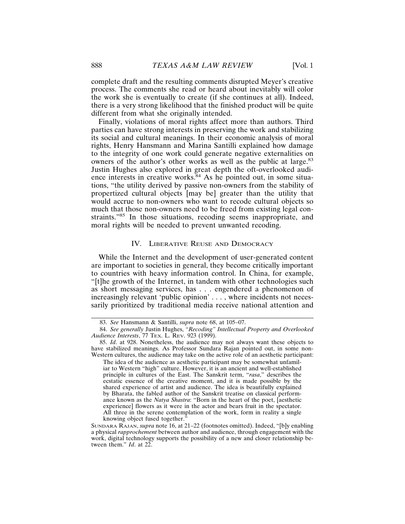complete draft and the resulting comments disrupted Meyer's creative process. The comments she read or heard about inevitably will color the work she is eventually to create (if she continues at all). Indeed, there is a very strong likelihood that the finished product will be quite different from what she originally intended.

Finally, violations of moral rights affect more than authors. Third parties can have strong interests in preserving the work and stabilizing its social and cultural meanings. In their economic analysis of moral rights, Henry Hansmann and Marina Santilli explained how damage to the integrity of one work could generate negative externalities on owners of the author's other works as well as the public at large.<sup>83</sup> Justin Hughes also explored in great depth the oft-overlooked audience interests in creative works. $84$  As he pointed out, in some situations, "the utility derived by passive non-owners from the stability of propertized cultural objects [may be] greater than the utility that would accrue to non-owners who want to recode cultural objects so much that those non-owners need to be freed from existing legal constraints."85 In those situations, recoding seems inappropriate, and moral rights will be needed to prevent unwanted recoding.

## IV. LIBERATIVE REUSE AND DEMOCRACY

While the Internet and the development of user-generated content are important to societies in general, they become critically important to countries with heavy information control. In China, for example, "[t]he growth of the Internet, in tandem with other technologies such as short messaging services, has . . . engendered a phenomenon of increasingly relevant 'public opinion' . . . , where incidents not necessarily prioritized by traditional media receive national attention and

<sup>83.</sup> *See* Hansmann & Santilli, *supra* note 68, at 105–07.

<sup>84.</sup> *See generally* Justin Hughes, *"Recoding" Intellectual Property and Overlooked Audience Interests*, 77 TEX. L. REV. 923 (1999).

<sup>85.</sup> *Id*. at 928. Nonetheless, the audience may not always want these objects to have stabilized meanings. As Professor Sundara Rajan pointed out, in some non-Western cultures, the audience may take on the active role of an aesthetic participant:

The idea of the audience as aesthetic participant may be somewhat unfamiliar to Western "high" culture. However, it is an ancient and well-established principle in cultures of the East. The Sanskrit term, "*rasa*," describes the ecstatic essence of the creative moment, and it is made possible by the shared experience of artist and audience. The idea is beautifully explained by Bharata, the fabled author of the Sanskrit treatise on classical performance known as the *Natya Shastra*: "Born in the heart of the poet, [aesthetic experience] flowers as it were in the actor and bears fruit in the spectator. All three in the serene contemplation of the work, form in reality a single knowing object fused together.

SUNDARA RAJAN, *supra* note 16, at 21–22 (footnotes omitted). Indeed, "[b]y enabling a physical *rapprochement* between author and audience, through engagement with the work, digital technology supports the possibility of a new and closer relationship between them." *Id*. at 22.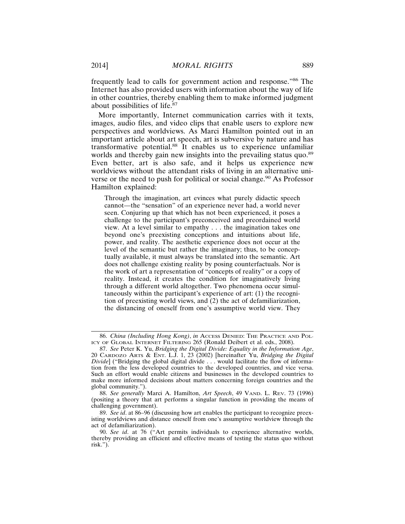frequently lead to calls for government action and response."86 The Internet has also provided users with information about the way of life in other countries, thereby enabling them to make informed judgment about possibilities of life.<sup>87</sup>

More importantly, Internet communication carries with it texts, images, audio files, and video clips that enable users to explore new perspectives and worldviews. As Marci Hamilton pointed out in an important article about art speech, art is subversive by nature and has transformative potential.88 It enables us to experience unfamiliar worlds and thereby gain new insights into the prevailing status quo.<sup>89</sup> Even better, art is also safe, and it helps us experience new worldviews without the attendant risks of living in an alternative universe or the need to push for political or social change.<sup>90</sup> As Professor Hamilton explained:

Through the imagination, art evinces what purely didactic speech cannot—the "sensation" of an experience never had, a world never seen. Conjuring up that which has not been experienced, it poses a challenge to the participant's preconceived and preordained world view. At a level similar to empathy . . . the imagination takes one beyond one's preexisting conceptions and intuitions about life, power, and reality. The aesthetic experience does not occur at the level of the semantic but rather the imaginary; thus, to be conceptually available, it must always be translated into the semantic. Art does not challenge existing reality by posing counterfactuals. Nor is the work of art a representation of "concepts of reality" or a copy of reality. Instead, it creates the condition for imaginatively living through a different world altogether. Two phenomena occur simultaneously within the participant's experience of art: (1) the recognition of preexisting world views, and (2) the act of defamiliarization, the distancing of oneself from one's assumptive world view. They

<sup>86.</sup> *China (Including Hong Kong)*, *in* ACCESS DENIED: THE PRACTICE AND POL-ICY OF GLOBAL INTERNET FILTERING 265 (Ronald Deibert et al. eds., 2008).

<sup>87.</sup> *See* Peter K. Yu, *Bridging the Digital Divide: Equality in the Information Age*, 20 CARDOZO ARTS & ENT. L.J. 1, 23 (2002) [hereinafter Yu, *Bridging the Digital Divide*] ("Bridging the global digital divide . . . would facilitate the flow of information from the less developed countries to the developed countries, and vice versa. Such an effort would enable citizens and businesses in the developed countries to make more informed decisions about matters concerning foreign countries and the global community.").

<sup>88.</sup> *See generally* Marci A. Hamilton, *Art Speech*, 49 VAND. L. REV. 73 (1996) (positing a theory that art performs a singular function in providing the means of challenging government).

<sup>89.</sup> *See id*. at 86–96 (discussing how art enables the participant to recognize preexisting worldviews and distance oneself from one's assumptive worldview through the act of defamiliarization).

<sup>90.</sup> *See id*. at 76 ("Art permits individuals to experience alternative worlds, thereby providing an efficient and effective means of testing the status quo without risk.").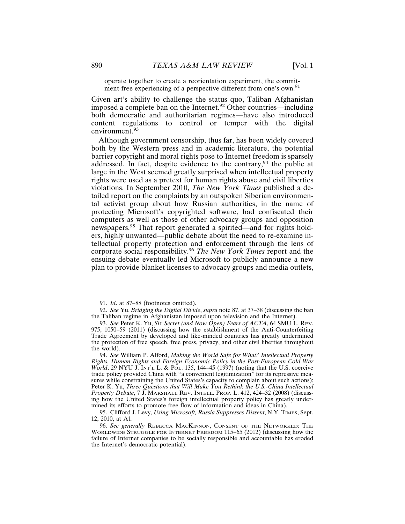operate together to create a reorientation experiment, the commitment-free experiencing of a perspective different from one's own.<sup>91</sup>

Given art's ability to challenge the status quo, Taliban Afghanistan imposed a complete ban on the Internet.<sup>92</sup> Other countries—including both democratic and authoritarian regimes—have also introduced content regulations to control or temper with the digital environment.<sup>93</sup>

Although government censorship, thus far, has been widely covered both by the Western press and in academic literature, the potential barrier copyright and moral rights pose to Internet freedom is sparsely addressed. In fact, despite evidence to the contrary,<sup>94</sup> the public at large in the West seemed greatly surprised when intellectual property rights were used as a pretext for human rights abuse and civil liberties violations. In September 2010, *The New York Times* published a detailed report on the complaints by an outspoken Siberian environmental activist group about how Russian authorities, in the name of protecting Microsoft's copyrighted software, had confiscated their computers as well as those of other advocacy groups and opposition newspapers.95 That report generated a spirited—and for rights holders, highly unwanted—public debate about the need to re-examine intellectual property protection and enforcement through the lens of corporate social responsibility.<sup>96</sup> *The New York Times* report and the ensuing debate eventually led Microsoft to publicly announce a new plan to provide blanket licenses to advocacy groups and media outlets,

<sup>91.</sup> *Id*. at 87–88 (footnotes omitted).

<sup>92.</sup> *See* Yu, *Bridging the Digital Divide*, *supra* note 87, at 37–38 (discussing the ban the Taliban regime in Afghanistan imposed upon television and the Internet).

<sup>93.</sup> *See* Peter K. Yu, *Six Secret (and Now Open) Fears of ACTA*, 64 SMU L. REV. 975, 1050–59 (2011) (discussing how the establishment of the Anti-Counterfeiting Trade Agreement by developed and like-minded countries has greatly undermined the protection of free speech, free press, privacy, and other civil liberties throughout the world).

<sup>94.</sup> *See* William P. Alford, *Making the World Safe for What? Intellectual Property Rights, Human Rights and Foreign Economic Policy in the Post-European Cold War World*, 29 NYU J. INT'L L. & POL. 135, 144-45 (1997) (noting that the U.S. coercive trade policy provided China with "a convenient legitimization" for its repressive measures while constraining the United States's capacity to complain about such actions); Peter K. Yu, *Three Questions that Will Make You Rethink the U.S.-China Intellectual Property Debate*, 7 J. MARSHALL REV. INTELL. PROP. L. 412, 424–32 (2008) (discussing how the United States's foreign intellectual property policy has greatly undermined its efforts to promote free flow of information and ideas in China).

<sup>95.</sup> Clifford J. Levy, *Using Microsoft, Russia Suppresses Dissent*, N.Y. TIMES, Sept. 12, 2010, at A1.

<sup>96.</sup> *See generally* REBECCA MACKINNON, CONSENT OF THE NETWORKED: THE WORLDWIDE STRUGGLE FOR INTERNET FREEDOM 115–65 (2012) (discussing how the failure of Internet companies to be socially responsible and accountable has eroded the Internet's democratic potential).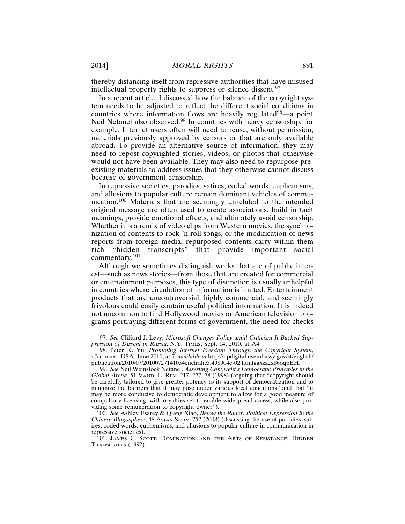thereby distancing itself from repressive authorities that have misused intellectual property rights to suppress or silence dissent.<sup>97</sup>

In a recent article, I discussed how the balance of the copyright system needs to be adjusted to reflect the different social conditions in countries where information flows are heavily regulated $98$ —a point Neil Netanel also observed.99 In countries with heavy censorship, for example, Internet users often will need to reuse, without permission, materials previously approved by censors or that are only available abroad. To provide an alternative source of information, they may need to repost copyrighted stories, videos, or photos that otherwise would not have been available. They may also need to repurpose preexisting materials to address issues that they otherwise cannot discuss because of government censorship.

In repressive societies, parodies, satires, coded words, euphemisms, and allusions to popular culture remain dominant vehicles of communication.100 Materials that are seemingly unrelated to the intended original message are often used to create associations, build in tacit meanings, provide emotional effects, and ultimately avoid censorship. Whether it is a remix of video clips from Western movies, the synchronization of contents to rock 'n roll songs, or the modification of news reports from foreign media, repurposed contents carry within them rich "hidden transcripts" that provide important social commentary.101

Although we sometimes distinguish works that are of public interest—such as news stories—from those that are created for commercial or entertainment purposes, this type of distinction is usually unhelpful in countries where circulation of information is limited. Entertainment products that are uncontroversial, highly commercial, and seemingly frivolous could easily contain useful political information. It is indeed not uncommon to find Hollywood movies or American television programs portraying different forms of government, the need for checks

100. *See* Ashley Esarey & Qiang Xiao, *Below the Radar: Political Expression in the Chinese Blogosphere*, 48 ASIAN SURV. 752 (2008) (discussing the use of parodies, satires, coded words, euphemisms, and allusions to popular culture in communication in repressive societies).

<sup>97.</sup> *See* Clifford J. Levy, *Microsoft Changes Policy amid Criticism It Backed Suppression of Dissent in Russia*, N.Y. TIMES, Sept. 14, 2010, at A4.

<sup>98.</sup> Peter K. Yu, *Promoting Internet Freedom Through the Copyright System*, EJOURNAL USA, June 2010, at 7, *available at* http://iipdigital.usembassy.gov/st/english/ publication/2010/07/20100727141034enelrahc5.498904e-02.html#axzz2x86oqpEH.

<sup>99.</sup> *See* Neil Weinstock Netanel, *Asserting Copyright's Democratic Principles in the Global Arena*, 51 VAND. L. REV. 217, 277–78 (1998) (arguing that "copyright should be carefully tailored to give greater potency to its support of democratization and to minimize the barriers that it may pose under various local conditions" and that "it may be more conducive to democratic development to allow for a good measure of compulsory licensing, with royalties set to enable widespread access, while also providing some remuneration to copyright owner").

<sup>101.</sup> JAMES C. SCOTT, DOMINATION AND THE ARTS OF RESISTANCE: HIDDEN TRANSCRIPTS (1992).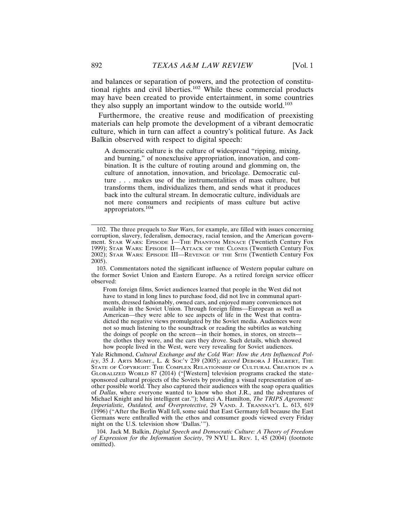and balances or separation of powers, and the protection of constitutional rights and civil liberties.<sup>102</sup> While these commercial products may have been created to provide entertainment, in some countries they also supply an important window to the outside world.<sup>103</sup>

Furthermore, the creative reuse and modification of preexisting materials can help promote the development of a vibrant democratic culture, which in turn can affect a country's political future. As Jack Balkin observed with respect to digital speech:

A democratic culture is the culture of widespread "ripping, mixing, and burning," of nonexclusive appropriation, innovation, and combination. It is the culture of routing around and glomming on, the culture of annotation, innovation, and bricolage. Democratic culture . . . makes use of the instrumentalities of mass culture, but transforms them, individualizes them, and sends what it produces back into the cultural stream. In democratic culture, individuals are not mere consumers and recipients of mass culture but active appropriators.104

103. Commentators noted the significant influence of Western popular culture on the former Soviet Union and Eastern Europe. As a retired foreign service officer observed:

From foreign films, Soviet audiences learned that people in the West did not have to stand in long lines to purchase food, did not live in communal apartments, dressed fashionably, owned cars, and enjoyed many conveniences not available in the Soviet Union. Through foreign films—European as well as American—they were able to see aspects of life in the West that contradicted the negative views promulgated by the Soviet media. Audiences were not so much listening to the soundtrack or reading the subtitles as watching the doings of people on the screen—in their homes, in stores, on streets the clothes they wore, and the cars they drove. Such details, which showed how people lived in the West, were very revealing for Soviet audiences.

Yale Richmond, *Cultural Exchange and the Cold War: How the Arts Influenced Policy*, 35 J. ARTS MGMT., L. & SOC'Y 239 (2005); *accord* DEBORA J HALBERT, THE STATE OF COPYRIGHT: THE COMPLEX RELATIONSHIP OF CULTURAL CREATION IN A GLOBALIZED WORLD 87 (2014) ("[Western] television programs cracked the statesponsored cultural projects of the Soviets by providing a visual representation of another possible world. They also captured their audiences with the soap opera qualities of *Dallas*, where everyone wanted to know who shot J.R., and the adventures of Michael Knight and his intelligent car."); Marci A. Hamilton, *The TRIPS Agreement: Imperialistic, Outdated, and Overprotective*, 29 VAND. J. TRANSNAT'L L. 613, 619 (1996) ("After the Berlin Wall fell, some said that East Germany fell because the East Germans were enthralled with the ethos and consumer goods viewed every Friday night on the U.S. television show 'Dallas.'").

104. Jack M. Balkin, *Digital Speech and Democratic Culture: A Theory of Freedom of Expression for the Information Society*, 79 NYU L. REV. 1, 45 (2004) (footnote omitted).

<sup>102.</sup> The three prequels to *Star Wars*, for example, are filled with issues concerning corruption, slavery, federalism, democracy, racial tension, and the American government. STAR WARS: EPISODE I—THE PHANTOM MENACE (Twentieth Century Fox 1999); STAR WARS: EPISODE II—ATTACK OF THE CLONES (Twentieth Century Fox 2002); STAR WARS: EPISODE III—REVENGE OF THE SITH (Twentieth Century Fox 2005).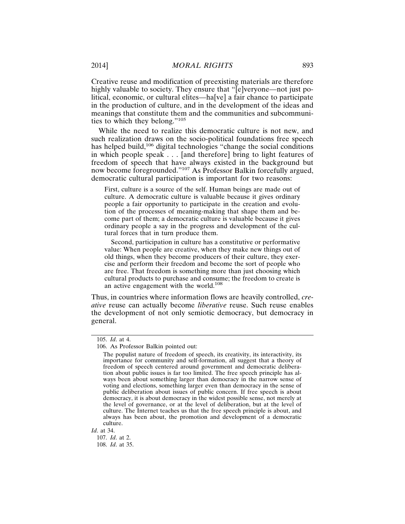Creative reuse and modification of preexisting materials are therefore highly valuable to society. They ensure that "[e]veryone—not just political, economic, or cultural elites—ha[ve] a fair chance to participate in the production of culture, and in the development of the ideas and meanings that constitute them and the communities and subcommunities to which they belong."<sup>105</sup>

While the need to realize this democratic culture is not new, and such realization draws on the socio-political foundations free speech has helped build,<sup>106</sup> digital technologies "change the social conditions" in which people speak . . . [and therefore] bring to light features of freedom of speech that have always existed in the background but now become foregrounded."107 As Professor Balkin forcefully argued, democratic cultural participation is important for two reasons:

First, culture is a source of the self. Human beings are made out of culture. A democratic culture is valuable because it gives ordinary people a fair opportunity to participate in the creation and evolution of the processes of meaning-making that shape them and become part of them; a democratic culture is valuable because it gives ordinary people a say in the progress and development of the cultural forces that in turn produce them.

Second, participation in culture has a constitutive or performative value: When people are creative, when they make new things out of old things, when they become producers of their culture, they exercise and perform their freedom and become the sort of people who are free. That freedom is something more than just choosing which cultural products to purchase and consume; the freedom to create is an active engagement with the world.<sup>108</sup>

Thus, in countries where information flows are heavily controlled, *creative* reuse can actually become *liberative* reuse. Such reuse enables the development of not only semiotic democracy, but democracy in general.

*Id*. at 34.

107. *Id*. at 2. 108. *Id*. at 35.

<sup>105.</sup> *Id*. at 4.

<sup>106.</sup> As Professor Balkin pointed out:

The populist nature of freedom of speech, its creativity, its interactivity, its importance for community and self-formation, all suggest that a theory of freedom of speech centered around government and democratic deliberation about public issues is far too limited. The free speech principle has always been about something larger than democracy in the narrow sense of voting and elections, something larger even than democracy in the sense of public deliberation about issues of public concern. If free speech is about democracy, it is about democracy in the widest possible sense, not merely at the level of governance, or at the level of deliberation, but at the level of culture. The Internet teaches us that the free speech principle is about, and always has been about, the promotion and development of a democratic culture.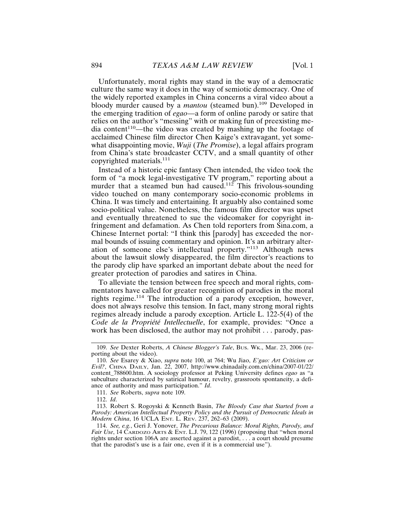Unfortunately, moral rights may stand in the way of a democratic culture the same way it does in the way of semiotic democracy. One of the widely reported examples in China concerns a viral video about a bloody murder caused by a *mantou* (steamed bun).<sup>109</sup> Developed in the emerging tradition of *egao*—a form of online parody or satire that relies on the author's "messing" with or making fun of preexisting me $dia content<sup>110</sup>$ —the video was created by mashing up the footage of acclaimed Chinese film director Chen Kaige's extravagant, yet somewhat disappointing movie, *Wuji* (*The Promise*), a legal affairs program from China's state broadcaster CCTV, and a small quantity of other copyrighted materials.<sup>111</sup>

Instead of a historic epic fantasy Chen intended, the video took the form of "a mock legal-investigative TV program," reporting about a murder that a steamed bun had caused.<sup>112</sup> This frivolous-sounding video touched on many contemporary socio-economic problems in China. It was timely and entertaining. It arguably also contained some socio-political value. Nonetheless, the famous film director was upset and eventually threatened to sue the videomaker for copyright infringement and defamation. As Chen told reporters from Sina.com, a Chinese Internet portal: "I think this [parody] has exceeded the normal bounds of issuing commentary and opinion. It's an arbitrary alteration of someone else's intellectual property."113 Although news about the lawsuit slowly disappeared, the film director's reactions to the parody clip have sparked an important debate about the need for greater protection of parodies and satires in China.

To alleviate the tension between free speech and moral rights, commentators have called for greater recognition of parodies in the moral rights regime.114 The introduction of a parody exception, however, does not always resolve this tension. In fact, many strong moral rights regimes already include a parody exception. Article L. 122-5(4) of the Code de la Propriété Intellectuelle, for example, provides: "Once a work has been disclosed, the author may not prohibit . . . parody, pas-

<sup>109.</sup> *See* Dexter Roberts, *A Chinese Blogger's Tale*, BUS. WK., Mar. 23, 2006 (reporting about the video).

<sup>110.</sup> *See* Esarey & Xiao, *supra* note 100, at 764; Wu Jiao, *E'gao: Art Criticism or Evil?*, CHINA DAILY, Jan. 22, 2007, http://www.chinadaily.com.cn/china/2007-01/22/ content\_788600.htm. A sociology professor at Peking University defines *egao* as "a subculture characterized by satirical humour, revelry, grassroots spontaneity, a defiance of authority and mass participation." *Id*.

<sup>111.</sup> *See* Roberts, *supra* note 109.

<sup>112.</sup> *Id*.

<sup>113.</sup> Robert S. Rogoyski & Kenneth Basin, *The Bloody Case that Started from a Parody: American Intellectual Property Policy and the Pursuit of Democratic Ideals in Modern China*, 16 UCLA ENT. L. REV. 237, 262–63 (2009).

<sup>114.</sup> *See, e.g.*, Geri J. Yonover, *The Precarious Balance: Moral Rights, Parody, and Fair Use*, 14 CARDOZO ARTS & ENT. L.J. 79, 122 (1996) (proposing that "when moral rights under section 106A are asserted against a parodist, . . . a court should presume that the parodist's use is a fair one, even if it is a commercial use").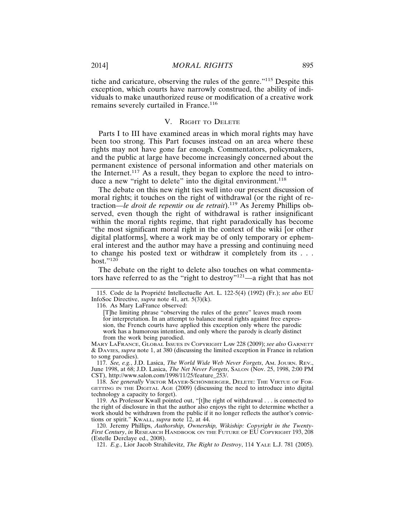tiche and caricature, observing the rules of the genre."115 Despite this exception, which courts have narrowly construed, the ability of individuals to make unauthorized reuse or modification of a creative work remains severely curtailed in France.<sup>116</sup>

#### V. RIGHT TO DELETE

Parts I to III have examined areas in which moral rights may have been too strong. This Part focuses instead on an area where these rights may not have gone far enough. Commentators, policymakers, and the public at large have become increasingly concerned about the permanent existence of personal information and other materials on the Internet.<sup>117</sup> As a result, they began to explore the need to introduce a new "right to delete" into the digital environment.<sup>118</sup>

The debate on this new right ties well into our present discussion of moral rights; it touches on the right of withdrawal (or the right of retraction—*le droit de repentir ou de retrait*).119 As Jeremy Phillips observed, even though the right of withdrawal is rather insignificant within the moral rights regime, that right paradoxically has become "the most significant moral right in the context of the wiki [or other digital platforms], where a work may be of only temporary or ephemeral interest and the author may have a pressing and continuing need to change his posted text or withdraw it completely from its . . . host." $^{120}$ 

The debate on the right to delete also touches on what commentators have referred to as the "right to destroy"121—a right that has not

116. As Mary LaFrance observed:

117. *See, e.g.*, J.D. Lasica, *The World Wide Web Never Forgets*, AM. JOURN. REV., June 1998, at 68; J.D. Lasica, *The Net Never Forgets*, SALON (Nov. 25, 1998, 2:00 PM CST), http://www.salon.com/1998/11/25/feature\_253/.

118. See generally VIKTOR MAYER-SCHONBERGER, DELETE: THE VIRTUE OF FOR-GETTING IN THE DIGITAL AGE (2009) (discussing the need to introduce into digital technology a capacity to forget).

119. As Professor Kwall pointed out, "[t]he right of withdrawal . . . is connected to the right of disclosure in that the author also enjoys the right to determine whether a work should be withdrawn from the public if it no longer reflects the author's convictions or spirit." KWALL, *supra* note 12, at 44.

120. Jeremy Phillips, *Authorship, Ownership, Wikiship: Copyright in the Twenty-First Century*, *in* RESEARCH HANDBOOK ON THE FUTURE OF EU COPYRIGHT 193, 208 (Estelle Derclaye ed., 2008).

<sup>115.</sup> Code de la Propriété Intellectuelle Art. L. 122-5(4) (1992) (Fr.); *see also* EU InfoSoc Directive, *supra* note 41, art. 5(3)(k).

<sup>[</sup>T]he limiting phrase "observing the rules of the genre" leaves much room for interpretation. In an attempt to balance moral rights against free expression, the French courts have applied this exception only where the parodic work has a humorous intention, and only where the parody is clearly distinct from the work being parodied.

MARY LAFRANCE, GLOBAL ISSUES IN COPYRIGHT LAW 228 (2009); *see also* GARNETT & DAVIES, *supra* note 1, at 380 (discussing the limited exception in France in relation to song parodies).

<sup>121.</sup> *E.g.*, Lior Jacob Strahilevitz, *The Right to Destroy*, 114 YALE L.J. 781 (2005).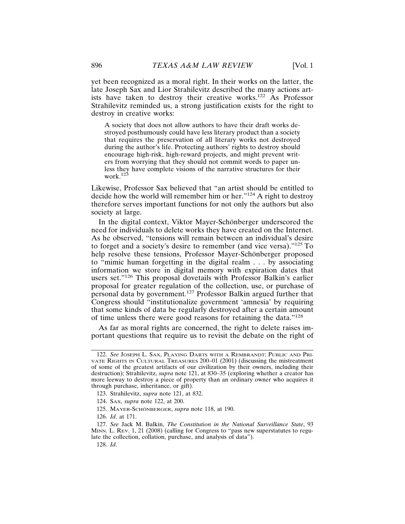yet been recognized as a moral right. In their works on the latter, the late Joseph Sax and Lior Strahilevitz described the many actions artists have taken to destroy their creative works.<sup>122</sup> As Professor Strahilevitz reminded us, a strong justification exists for the right to destroy in creative works:

A society that does not allow authors to have their draft works destroyed posthumously could have less literary product than a society that requires the preservation of all literary works not destroyed during the author's life. Protecting authors' rights to destroy should encourage high-risk, high-reward projects, and might prevent writers from worrying that they should not commit words to paper unless they have complete visions of the narrative structures for their work. $^{123}$ 

Likewise, Professor Sax believed that "an artist should be entitled to decide how the world will remember him or her."124 A right to destroy therefore serves important functions for not only the authors but also society at large.

In the digital context, Viktor Mayer-Schönberger underscored the need for individuals to delete works they have created on the Internet. As he observed, "tensions will remain between an individual's desire to forget and a society's desire to remember (and vice versa)."125 To help resolve these tensions, Professor Mayer-Schönberger proposed to "mimic human forgetting in the digital realm . . . by associating information we store in digital memory with expiration dates that users set."126 This proposal dovetails with Professor Balkin's earlier proposal for greater regulation of the collection, use, or purchase of personal data by government.127 Professor Balkin argued further that Congress should "institutionalize government 'amnesia' by requiring that some kinds of data be regularly destroyed after a certain amount of time unless there were good reasons for retaining the data."128

As far as moral rights are concerned, the right to delete raises important questions that require us to revisit the debate on the right of

<sup>122.</sup> *See* JOSEPH L. SAX, PLAYING DARTS WITH A REMBRANDT: PUBLIC AND PRI-VATE RIGHTS IN CULTURAL TREASURES 200–01 (2001) (discussing the mistreatment of some of the greatest artifacts of our civilization by their owners, including their destruction); Strahilevitz, *supra* note 121, at 830–35 (exploring whether a creator has more leeway to destroy a piece of property than an ordinary owner who acquires it through purchase, inheritance, or gift).

<sup>123.</sup> Strahilevitz, *supra* note 121, at 832.

<sup>124.</sup> SAX, *supra* note 122, at 200.

<sup>125.</sup> MAYER-SCHÖNBERGER, *supra* note 118, at 190.

<sup>126.</sup> *Id*. at 171.

<sup>127.</sup> *See* Jack M. Balkin, *The Constitution in the National Surveillance State*, 93 MINN. L. REV. 1, 21 (2008) (calling for Congress to "pass new superstatutes to regulate the collection, collation, purchase, and analysis of data").

<sup>128.</sup> *Id*.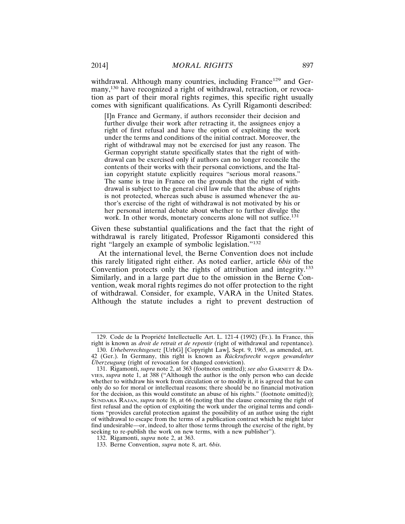withdrawal. Although many countries, including France<sup>129</sup> and Germany,<sup>130</sup> have recognized a right of withdrawal, retraction, or revocation as part of their moral rights regimes, this specific right usually comes with significant qualifications. As Cyrill Rigamonti described:

[I]n France and Germany, if authors reconsider their decision and further divulge their work after retracting it, the assignees enjoy a right of first refusal and have the option of exploiting the work under the terms and conditions of the initial contract. Moreover, the right of withdrawal may not be exercised for just any reason. The German copyright statute specifically states that the right of withdrawal can be exercised only if authors can no longer reconcile the contents of their works with their personal convictions, and the Italian copyright statute explicitly requires "serious moral reasons." The same is true in France on the grounds that the right of withdrawal is subject to the general civil law rule that the abuse of rights is not protected, whereas such abuse is assumed whenever the author's exercise of the right of withdrawal is not motivated by his or her personal internal debate about whether to further divulge the work. In other words, monetary concerns alone will not suffice.<sup>13</sup>

Given these substantial qualifications and the fact that the right of withdrawal is rarely litigated, Professor Rigamonti considered this right "largely an example of symbolic legislation."132

At the international level, the Berne Convention does not include this rarely litigated right either. As noted earlier, article 6*bis* of the Convention protects only the rights of attribution and integrity.<sup>133</sup> Similarly, and in a large part due to the omission in the Berne Convention, weak moral rights regimes do not offer protection to the right of withdrawal. Consider, for example, VARA in the United States. Although the statute includes a right to prevent destruction of

<sup>129.</sup> Code de la Propriété Intellectuelle Art. L. 121-4 (1992) (Fr.). In France, this right is known as *droit de retrait et de repentir* (right of withdrawal and repentance).

<sup>130.</sup> *Urheberrechtsgesetz* [UrhG] [Copyright Law], Sept. 9, 1965, as amended, art. 42 (Ger.). In Germany, this right is known as *Ruckrufsrecht wegen gewandelter Uberzeugung* (right of revocation for changed conviction).

<sup>131.</sup> Rigamonti, *supra* note 2, at 363 (footnotes omitted); *see also* GARNETT & DA-VIES, *supra* note 1, at 388 ("Although the author is the only person who can decide whether to withdraw his work from circulation or to modify it, it is agreed that he can only do so for moral or intellectual reasons; there should be no financial motivation for the decision, as this would constitute an abuse of his rights." (footnote omitted)); SUNDARA RAJAN, *supra* note 16, at 66 (noting that the clause concerning the right of first refusal and the option of exploiting the work under the original terms and conditions "provides careful protection against the possibility of an author using the right of withdrawal to escape from the terms of a publication contract which he might later find undesirable—or, indeed, to alter those terms through the exercise of the right, by seeking to re-publish the work on new terms, with a new publisher").

<sup>132.</sup> Rigamonti, *supra* note 2, at 363.

<sup>133.</sup> Berne Convention, *supra* note 8, art. 6*bis*.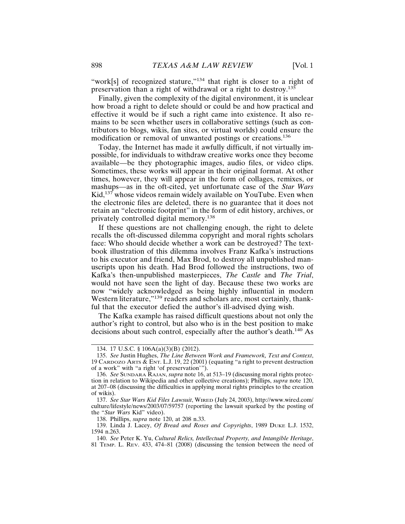"work[s] of recognized stature,"<sup>134</sup> that right is closer to a right of preservation than a right of withdrawal or a right to destroy.135

Finally, given the complexity of the digital environment, it is unclear how broad a right to delete should or could be and how practical and effective it would be if such a right came into existence. It also remains to be seen whether users in collaborative settings (such as contributors to blogs, wikis, fan sites, or virtual worlds) could ensure the modification or removal of unwanted postings or creations.<sup>136</sup>

Today, the Internet has made it awfully difficult, if not virtually impossible, for individuals to withdraw creative works once they become available—be they photographic images, audio files, or video clips. Sometimes, these works will appear in their original format. At other times, however, they will appear in the form of collages, remixes, or mashups—as in the oft-cited, yet unfortunate case of the *Star Wars* Kid,<sup>137</sup> whose videos remain widely available on YouTube. Even when the electronic files are deleted, there is no guarantee that it does not retain an "electronic footprint" in the form of edit history, archives, or privately controlled digital memory.<sup>138</sup>

If these questions are not challenging enough, the right to delete recalls the oft-discussed dilemma copyright and moral rights scholars face: Who should decide whether a work can be destroyed? The textbook illustration of this dilemma involves Franz Kafka's instructions to his executor and friend, Max Brod, to destroy all unpublished manuscripts upon his death. Had Brod followed the instructions, two of Kafka's then-unpublished masterpieces, *The Castle* and *The Trial*, would not have seen the light of day. Because these two works are now "widely acknowledged as being highly influential in modern Western literature,"<sup>139</sup> readers and scholars are, most certainly, thankful that the executor defied the author's ill-advised dying wish.

The Kafka example has raised difficult questions about not only the author's right to control, but also who is in the best position to make decisions about such control, especially after the author's death.140 As

138. Phillips, *supra* note 120, at 208 n.33.

139. Linda J. Lacey, *Of Bread and Roses and Copyrights*, 1989 DUKE L.J. 1532, 1594 n.263.

140. *See* Peter K. Yu, *Cultural Relics, Intellectual Property, and Intangible Heritage*, 81 TEMP. L. REV. 433, 474–81 (2008) (discussing the tension between the need of

<sup>134. 17</sup> U.S.C. § 106A(a)(3)(B) (2012).

<sup>135.</sup> *See* Justin Hughes, *The Line Between Work and Framework, Text and Context*, 19 CARDOZO ARTS & ENT. L.J. 19, 22 (2001) (equating "a right to prevent destruction of a work" with "a right 'of preservation'").

<sup>136.</sup> *See* SUNDARA RAJAN, *supra* note 16, at 513–19 (discussing moral rights protection in relation to Wikipedia and other collective creations); Phillips, *supra* note 120, at 207–08 (discussing the difficulties in applying moral rights principles to the creation of wikis).

<sup>137.</sup> *See Star Wars Kid Files Lawsuit*, WIRED (July 24, 2003), http://www.wired.com/ culture/lifestyle/news/2003/07/59757 (reporting the lawsuit sparked by the posting of the "*Star Wars* Kid" video).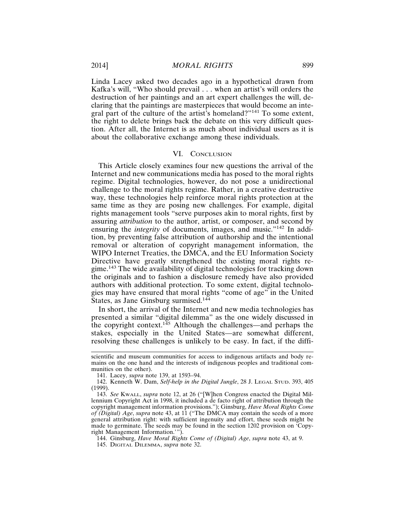Linda Lacey asked two decades ago in a hypothetical drawn from Kafka's will, "Who should prevail . . . when an artist's will orders the destruction of her paintings and an art expert challenges the will, declaring that the paintings are masterpieces that would become an integral part of the culture of the artist's homeland?"141 To some extent, the right to delete brings back the debate on this very difficult question. After all, the Internet is as much about individual users as it is about the collaborative exchange among these individuals.

### VI. CONCLUSION

This Article closely examines four new questions the arrival of the Internet and new communications media has posed to the moral rights regime. Digital technologies, however, do not pose a unidirectional challenge to the moral rights regime. Rather, in a creative destructive way, these technologies help reinforce moral rights protection at the same time as they are posing new challenges. For example, digital rights management tools "serve purposes akin to moral rights, first by assuring *attribution* to the author, artist, or composer, and second by ensuring the *integrity* of documents, images, and music."<sup>142</sup> In addition, by preventing false attribution of authorship and the intentional removal or alteration of copyright management information, the WIPO Internet Treaties, the DMCA, and the EU Information Society Directive have greatly strengthened the existing moral rights regime.143 The wide availability of digital technologies for tracking down the originals and to fashion a disclosure remedy have also provided authors with additional protection. To some extent, digital technologies may have ensured that moral rights "come of age" in the United States, as Jane Ginsburg surmised.<sup>144</sup>

In short, the arrival of the Internet and new media technologies has presented a similar "digital dilemma" as the one widely discussed in the copyright context.145 Although the challenges—and perhaps the stakes, especially in the United States—are somewhat different, resolving these challenges is unlikely to be easy. In fact, if the diffi-

scientific and museum communities for access to indigenous artifacts and body remains on the one hand and the interests of indigenous peoples and traditional communities on the other).

<sup>141.</sup> Lacey, *supra* note 139, at 1593–94.

<sup>142.</sup> Kenneth W. Dam, *Self-help in the Digital Jungle*, 28 J. LEGAL STUD. 393, 405 (1999).

<sup>143.</sup> *See* KWALL, *supra* note 12, at 26 ("[W]hen Congress enacted the Digital Millennium Copyright Act in 1998, it included a de facto right of attribution through the copyright management information provisions."); Ginsburg, *Have Moral Rights Come of (Digital) Age*, *supra* note 43, at 11 ("The DMCA may contain the seeds of a more general attribution right: with sufficient ingenuity and effort, these seeds might be made to germinate. The seeds may be found in the section 1202 provision on 'Copyright Management Information.'").

<sup>144.</sup> Ginsburg, *Have Moral Rights Come of (Digital) Age*, *supra* note 43, at 9.

<sup>145.</sup> DIGITAL DILEMMA, *supra* note 32.